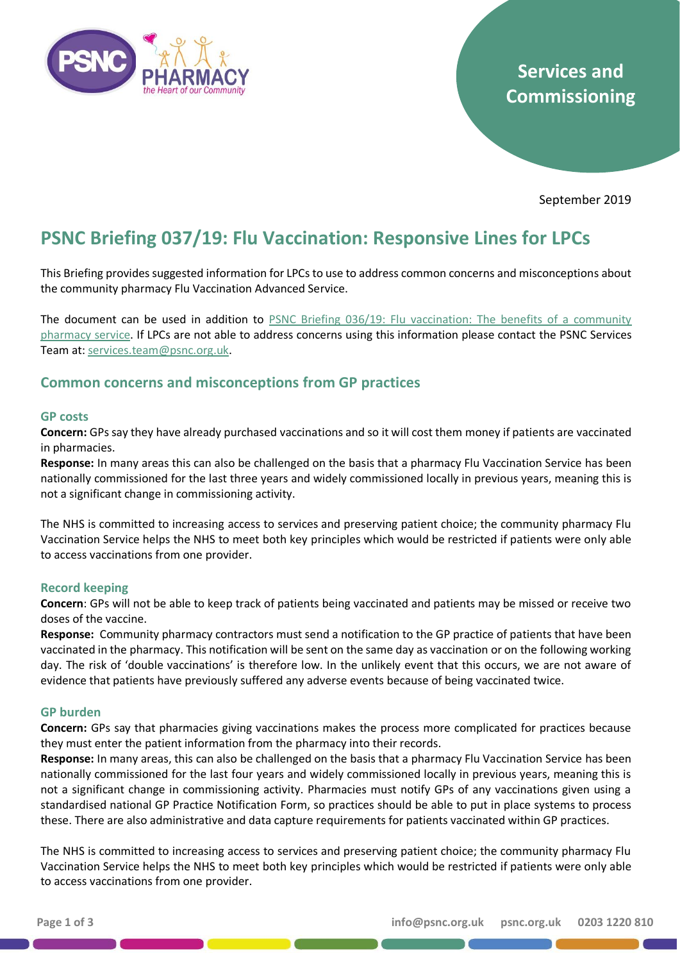

# **Services and Commissioning**

September 2019

# **PSNC Briefing 037/19: Flu Vaccination: Responsive Lines for LPCs**

This Briefing provides suggested information for LPCs to use to address common concerns and misconceptions about the community pharmacy Flu Vaccination Advanced Service.

The document can be used in addition to PSNC Briefing 036/19: [Flu vaccination: The benefits of a community](https://psnc.org.uk/services-commissioning/psnc-briefings-services-and-commissioning/psnc-briefing-036-19-flu-vaccination-the-benefits-of-a-community-pharmacy-service-september-2019/)  [pharmacy service.](https://psnc.org.uk/services-commissioning/psnc-briefings-services-and-commissioning/psnc-briefing-036-19-flu-vaccination-the-benefits-of-a-community-pharmacy-service-september-2019/) If LPCs are not able to address concerns using this information please contact the PSNC Services Team at: [services.team@psnc.org.uk.](mailto:services.team@psnc.org.uk)

### **Common concerns and misconceptions from GP practices**

#### **GP costs**

**Concern:** GPs say they have already purchased vaccinations and so it will cost them money if patients are vaccinated in pharmacies.

**Response:** In many areas this can also be challenged on the basis that a pharmacy Flu Vaccination Service has been nationally commissioned for the last three years and widely commissioned locally in previous years, meaning this is not a significant change in commissioning activity.

The NHS is committed to increasing access to services and preserving patient choice; the community pharmacy Flu Vaccination Service helps the NHS to meet both key principles which would be restricted if patients were only able to access vaccinations from one provider.

#### **Record keeping**

**Concern**: GPs will not be able to keep track of patients being vaccinated and patients may be missed or receive two doses of the vaccine.

**Response:** Community pharmacy contractors must send a notification to the GP practice of patients that have been vaccinated in the pharmacy. This notification will be sent on the same day as vaccination or on the following working day. The risk of 'double vaccinations' is therefore low. In the unlikely event that this occurs, we are not aware of evidence that patients have previously suffered any adverse events because of being vaccinated twice.

#### **GP burden**

**Concern:** GPs say that pharmacies giving vaccinations makes the process more complicated for practices because they must enter the patient information from the pharmacy into their records.

**Response:** In many areas, this can also be challenged on the basis that a pharmacy Flu Vaccination Service has been nationally commissioned for the last four years and widely commissioned locally in previous years, meaning this is not a significant change in commissioning activity. Pharmacies must notify GPs of any vaccinations given using a standardised national GP Practice Notification Form, so practices should be able to put in place systems to process these. There are also administrative and data capture requirements for patients vaccinated within GP practices.

The NHS is committed to increasing access to services and preserving patient choice; the community pharmacy Flu Vaccination Service helps the NHS to meet both key principles which would be restricted if patients were only able to access vaccinations from one provider.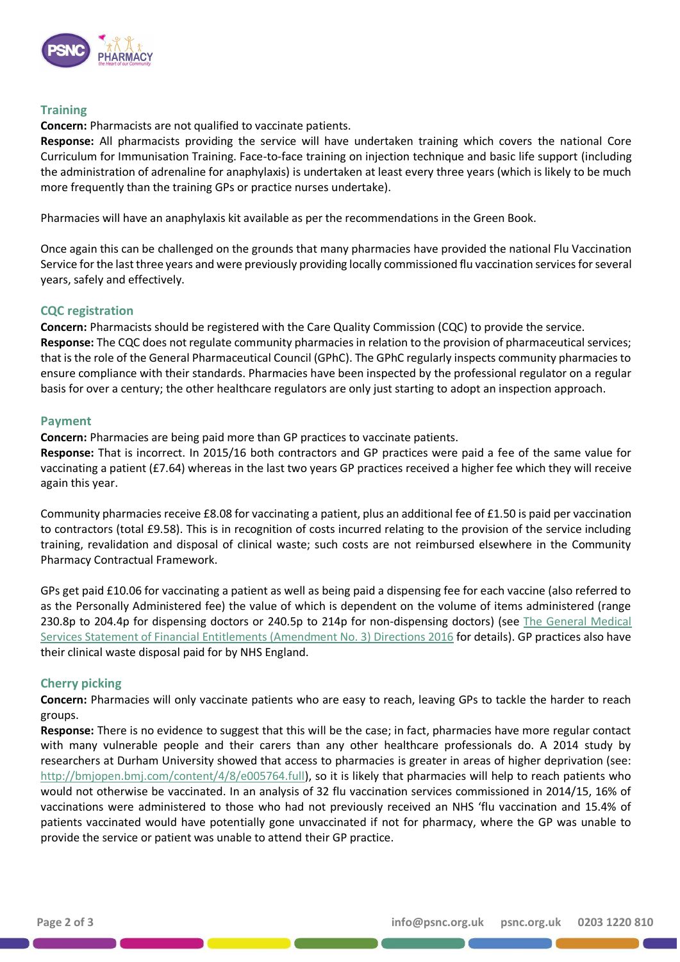

#### **Training**

#### **Concern:** Pharmacists are not qualified to vaccinate patients.

**Response:** All pharmacists providing the service will have undertaken training which covers the national Core Curriculum for Immunisation Training. Face-to-face training on injection technique and basic life support (including the administration of adrenaline for anaphylaxis) is undertaken at least every three years (which is likely to be much more frequently than the training GPs or practice nurses undertake).

Pharmacies will have an anaphylaxis kit available as per the recommendations in the Green Book.

Once again this can be challenged on the grounds that many pharmacies have provided the national Flu Vaccination Service for the last three years and were previously providing locally commissioned flu vaccination services for several years, safely and effectively.

#### **CQC registration**

**Concern:** Pharmacists should be registered with the Care Quality Commission (CQC) to provide the service. **Response:** The CQC does not regulate community pharmacies in relation to the provision of pharmaceutical services; that is the role of the General Pharmaceutical Council (GPhC). The GPhC regularly inspects community pharmacies to ensure compliance with their standards. Pharmacies have been inspected by the professional regulator on a regular basis for over a century; the other healthcare regulators are only just starting to adopt an inspection approach.

#### **Payment**

**Concern:** Pharmacies are being paid more than GP practices to vaccinate patients.

**Response:** That is incorrect. In 2015/16 both contractors and GP practices were paid a fee of the same value for vaccinating a patient (£7.64) whereas in the last two years GP practices received a higher fee which they will receive again this year.

Community pharmacies receive £8.08 for vaccinating a patient, plus an additional fee of £1.50 is paid per vaccination to contractors (total £9.58). This is in recognition of costs incurred relating to the provision of the service including training, revalidation and disposal of clinical waste; such costs are not reimbursed elsewhere in the Community Pharmacy Contractual Framework.

GPs get paid £10.06 for vaccinating a patient as well as being paid a dispensing fee for each vaccine (also referred to as the Personally Administered fee) the value of which is dependent on the volume of items administered (range 230.8p to 204.4p for dispensing doctors or 240.5p to 214p for non-dispensing doctors) (see [The General Medical](https://www.gov.uk/government/publications/nhs-primary-medical-services-directions-2013)  [Services Statement of Financial Entitlements \(Amendment No. 3\) Directions 2016](https://www.gov.uk/government/publications/nhs-primary-medical-services-directions-2013) for details). GP practices also have their clinical waste disposal paid for by NHS England.

#### **Cherry picking**

**Concern:** Pharmacies will only vaccinate patients who are easy to reach, leaving GPs to tackle the harder to reach groups.

**Response:** There is no evidence to suggest that this will be the case; in fact, pharmacies have more regular contact with many vulnerable people and their carers than any other healthcare professionals do. A 2014 study by researchers at Durham University showed that access to pharmacies is greater in areas of higher deprivation (see: [http://bmjopen.bmj.com/content/4/8/e005764.full\)](http://bmjopen.bmj.com/content/4/8/e005764.full), so it is likely that pharmacies will help to reach patients who would not otherwise be vaccinated. In an analysis of 32 flu vaccination services commissioned in 2014/15, 16% of vaccinations were administered to those who had not previously received an NHS 'flu vaccination and 15.4% of patients vaccinated would have potentially gone unvaccinated if not for pharmacy, where the GP was unable to provide the service or patient was unable to attend their GP practice.